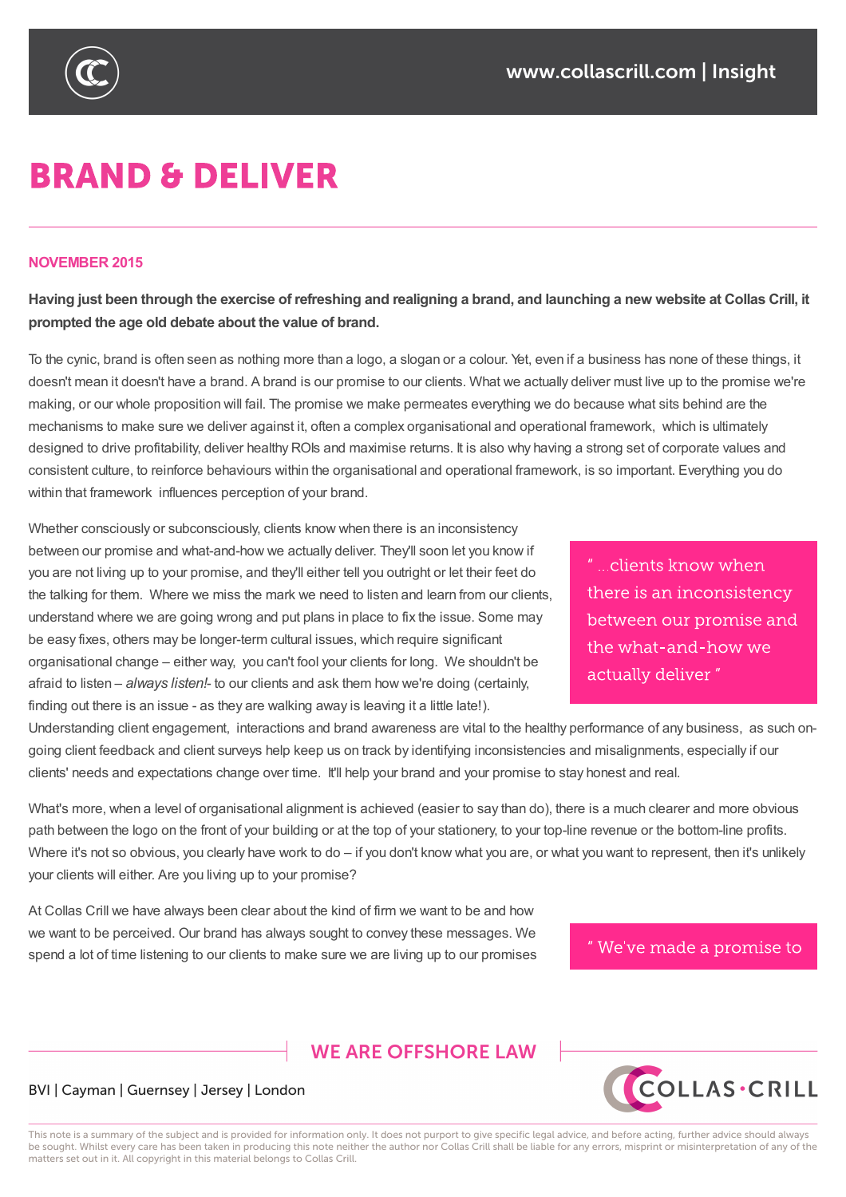

# **BRAND & DELIVER**

#### **NOVEMBER 2015**

Having just been through the exercise of refreshing and realigning a brand, and launching a new website at Collas Crill, it **prompted the age old debate about the value of brand.**

To the cynic, brand is often seen as nothing more than a logo, a slogan or a colour. Yet, even if a business has none of these things, it doesn't mean it doesn't have a brand. A brand is our promise to our clients. What we actually deliver must live up to the promise we're making, or our whole proposition will fail. The promise we make permeates everything we do because what sits behind are the mechanisms to make sure we deliver against it, often a complex organisational and operational framework, which is ultimately designed to drive profitability, deliver healthy ROIs and maximise returns. It is also why having a strong set of corporate values and consistent culture, to reinforce behaviours within the organisational and operational framework, is so important. Everything you do within that framework influences perception of your brand.

Whether consciously or subconsciously, clients know when there is an inconsistency between our promise and what-and-how we actually deliver. They'll soon let you know if you are not living up to your promise, and they'll either tell you outright or let their feet do the talking for them. Where we miss the mark we need to listen and learn from our clients, understand where we are going wrong and put plans in place to fix the issue. Some may be easy fixes, others may be longer-term cultural issues, which require significant organisational change – either way, you can't fool your clients for long. We shouldn't be afraid to listen – *always listen!*- to our clients and ask them how we're doing (certainly, finding out there is an issue - as they are walking away is leaving it a little late!).

" ...clients know when there is an inconsistency between our promise and the what-and-how we actually deliver"

Understanding client engagement, interactions and brand awareness are vital to the healthy performance of any business, as such ongoing client feedback and client surveys help keep us on track by identifying inconsistencies and misalignments, especially if our clients' needs and expectations change over time. It'll help your brand and your promise to stay honest and real.

What's more, when a level of organisational alignment is achieved (easier to say than do), there is a much clearer and more obvious path between the logo on the front of your building or at the top of your stationery, to your top-line revenue or the bottom-line profits. Where it's not so obvious, you clearly have work to do – if you don't know what you are, or what you want to represent, then it's unlikely your clients will either. Are you living up to your promise?

At Collas Crill we have always been clear about the kind of firm we want to be and how we want to be perceived. Our brand has always sought to convey these messages. We spend a lot of time listening to our clients to make sure we are living up to our promises

#### "We've made a promise to

**COLLAS·CRILL** 

## **WE ARE OFFSHORE I AW**

## BVI | Cayman | Guernsey | Jersey | London

This note is a summary of the subject and is provided for information only. It does not purport to give specific legal advice, and before acting, further advice should always be sought. Whilst every care has been taken in producing this note neither the author nor Collas Crill shall be liable for any errors, misprint or misinterpretation of any of the matters set out in it. All copyright in this material belongs to Collas Crill.